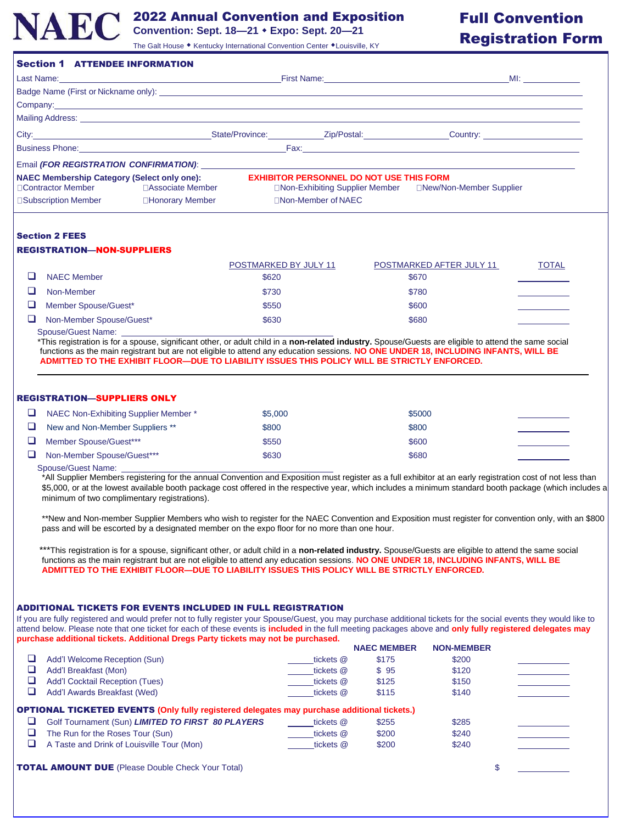

# 2022 Annual Convention and Exposition

# Full Convention

|   | IALU                                                                                                                                                                                                                                                                                                                                                                                                               | Convention: Sept. 18-21 • Expo: Sept. 20-21 | The Galt House • Kentucky International Convention Center • Louisville, KY |                                                 | <b>Registration Form</b> |
|---|--------------------------------------------------------------------------------------------------------------------------------------------------------------------------------------------------------------------------------------------------------------------------------------------------------------------------------------------------------------------------------------------------------------------|---------------------------------------------|----------------------------------------------------------------------------|-------------------------------------------------|--------------------------|
|   | <b>Section 1 ATTENDEE INFORMATION</b>                                                                                                                                                                                                                                                                                                                                                                              |                                             |                                                                            |                                                 |                          |
|   |                                                                                                                                                                                                                                                                                                                                                                                                                    |                                             |                                                                            |                                                 |                          |
|   |                                                                                                                                                                                                                                                                                                                                                                                                                    |                                             |                                                                            |                                                 |                          |
|   | Company: example, and the company of the company of the company of the company of the company of the company of the company of the company of the company of the company of the company of the company of the company of the c                                                                                                                                                                                     |                                             |                                                                            |                                                 |                          |
|   |                                                                                                                                                                                                                                                                                                                                                                                                                    |                                             |                                                                            |                                                 |                          |
|   | City: Current Country: Country: Country: Country: Country: Country: Country: Country: Country: Country: Country: Country: Country: Country: Country: Country: Country: Country: Country: Country: Country: Country: Country: C                                                                                                                                                                                     |                                             |                                                                            |                                                 |                          |
|   | <b>Existence Contract Contract Contract Contract Contract Contract Contract Contract Contract Contract Contract Contract Contract Contract Contract Contract Contract Contract Contract Contract Contract Contract Contract Cont</b>                                                                                                                                                                               |                                             |                                                                            |                                                 |                          |
|   | Email (FOR REGISTRATION CONFIRMATION): Value of the state of the state of the state of the state of the state of the state of the state of the state of the state of the state of the state of the state of the state of the s                                                                                                                                                                                     |                                             |                                                                            |                                                 |                          |
|   | <b>NAEC Membership Category (Select only one):</b><br>□Contractor Member<br>□ Associate Member<br>□Subscription Member<br>□Honorary Member                                                                                                                                                                                                                                                                         |                                             | □Non-Member of NAEC                                                        | <b>EXHIBITOR PERSONNEL DO NOT USE THIS FORM</b> |                          |
|   | <b>Section 2 FEES</b><br><b>REGISTRATION-NON-SUPPLIERS</b>                                                                                                                                                                                                                                                                                                                                                         | POSTMARKED BY JULY 11                       |                                                                            | POSTMARKED AFTER JULY 11                        | <b>TOTAL</b>             |
| □ | <b>NAEC Member</b>                                                                                                                                                                                                                                                                                                                                                                                                 | \$620                                       |                                                                            | \$670                                           |                          |
| ⊔ | Non-Member                                                                                                                                                                                                                                                                                                                                                                                                         | \$730                                       |                                                                            | \$780                                           |                          |
| ❏ | Member Spouse/Guest*                                                                                                                                                                                                                                                                                                                                                                                               | \$550                                       |                                                                            | \$600                                           |                          |
| ❏ | Non-Member Spouse/Guest*                                                                                                                                                                                                                                                                                                                                                                                           | \$630                                       |                                                                            | \$680                                           |                          |
|   | Spouse/Guest Name:<br>*This registration is for a spouse, significant other, or adult child in a non-related industry. Spouse/Guests are eligible to attend the same social<br>functions as the main registrant but are not eligible to attend any education sessions. NO ONE UNDER 18, INCLUDING INFANTS, WILL BE<br>ADMITTED TO THE EXHIBIT FLOOR-DUE TO LIABILITY ISSUES THIS POLICY WILL BE STRICTLY ENFORCED. |                                             |                                                                            |                                                 |                          |
|   | <b>REGISTRATION-SUPPLIERS ONLY</b>                                                                                                                                                                                                                                                                                                                                                                                 |                                             |                                                                            |                                                 |                          |
| ❏ | NAEC Non-Exhibiting Supplier Member *                                                                                                                                                                                                                                                                                                                                                                              | \$5,000                                     |                                                                            | \$5000                                          |                          |
| ❏ | New and Non-Member Suppliers **                                                                                                                                                                                                                                                                                                                                                                                    | \$800                                       |                                                                            | \$800                                           |                          |
| ❏ | Member Spouse/Guest***                                                                                                                                                                                                                                                                                                                                                                                             | \$550                                       |                                                                            | \$600                                           |                          |
| ❏ | Non-Member Spouse/Guest***                                                                                                                                                                                                                                                                                                                                                                                         | \$630                                       |                                                                            | \$680                                           |                          |
|   | Spouse/Guest Name:<br>*All Supplier Members registering for the annual Convention and Exposition must register as a full exhibitor at an early registration cost of not less than<br>\$5,000, or at the lowest available booth package cost offered in the respective year, which includes a minimum standard booth package (which includes a<br>minimum of two complimentary registrations).                      |                                             |                                                                            |                                                 |                          |

\*\*New and Non-member Supplier Members who wish to register for the NAEC Convention and Exposition must register for convention only, with an \$800 pass and will be escorted by a designated member on the expo floor for no more than one hour.

\*\*\*This registration is for a spouse, significant other, or adult child in a non-related industry. Spouse/Guests are eligible to attend the same social functions as the main registrant but are not eligible to attend any education sessions. **NO ONE UNDER 18, INCLUDING INFANTS, WILL BE ADMITTED TO THE EXHIBIT FLOOR—DUE TO LIABILITY ISSUES THIS POLICY WILL BE STRICTLY ENFORCED.**

## ADDITIONAL TICKETS FOR EVENTS INCLUDED IN FULL REGISTRATION

If you are fully registered and would prefer not to fully register your Spouse/Guest, you may purchase additional tickets for the social events they would like to attend below. Please note that one ticket for each of these events is **included** in the full meeting packages above and **only fully registered delegates may purchase additional tickets. Additional Dregs Party tickets may not be purchased.**

|                                                                                                    |           | <b>NAEC MEMBER</b> | <b>NON-MEMBER</b> |  |
|----------------------------------------------------------------------------------------------------|-----------|--------------------|-------------------|--|
| Add'l Welcome Reception (Sun)                                                                      | tickets @ | \$175              | \$200             |  |
| Add'l Breakfast (Mon)                                                                              | tickets @ | \$95               | \$120             |  |
| <b>Add'I Cocktail Reception (Tues)</b>                                                             | tickets @ | \$125              | \$150             |  |
| Add'l Awards Breakfast (Wed)                                                                       | tickets @ | \$115              | \$140             |  |
| <b>OPTIONAL TICKETED EVENTS (Only fully registered delegates may purchase additional tickets.)</b> |           |                    |                   |  |
| Golf Tournament (Sun) LIMITED TO FIRST 80 PLAYERS                                                  | tickets @ | \$255              | \$285             |  |
| The Run for the Roses Tour (Sun)                                                                   | tickets @ | \$200              | \$240             |  |
| A Taste and Drink of Louisville Tour (Mon)                                                         | tickets @ | \$200              | \$240             |  |
|                                                                                                    |           |                    |                   |  |

TOTAL AMOUNT DUE (Please Double Check Your Total) \$